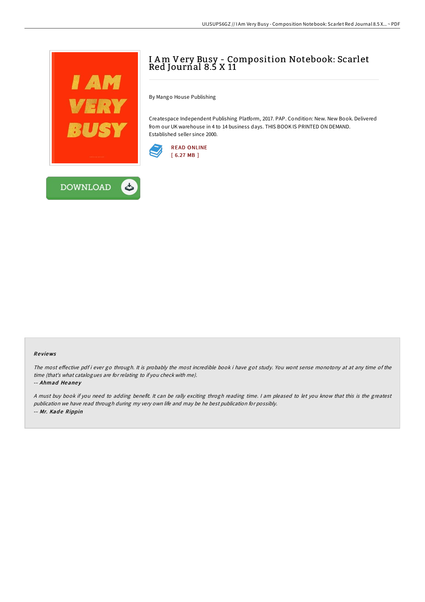

## I Am Very Busy - Composition Notebook: Scarlet Red Journal 8.5 X 11

By Mango House Publishing

Createspace Independent Publishing Platform, 2017. PAP. Condition: New. New Book. Delivered from our UK warehouse in 4 to 14 business days. THIS BOOK IS PRINTED ON DEMAND. Established seller since 2000.





## Re views

The most effective pdf i ever go through. It is probably the most incredible book i have got study. You wont sense monotony at at any time of the time (that's what catalogues are for relating to if you check with me).

-- Ahmad Heaney

<sup>A</sup> must buy book if you need to adding benefit. It can be rally exciting throgh reading time. <sup>I</sup> am pleased to let you know that this is the greatest publication we have read through during my very own life and may be he best publication for possibly. -- Mr. Kade Rippin